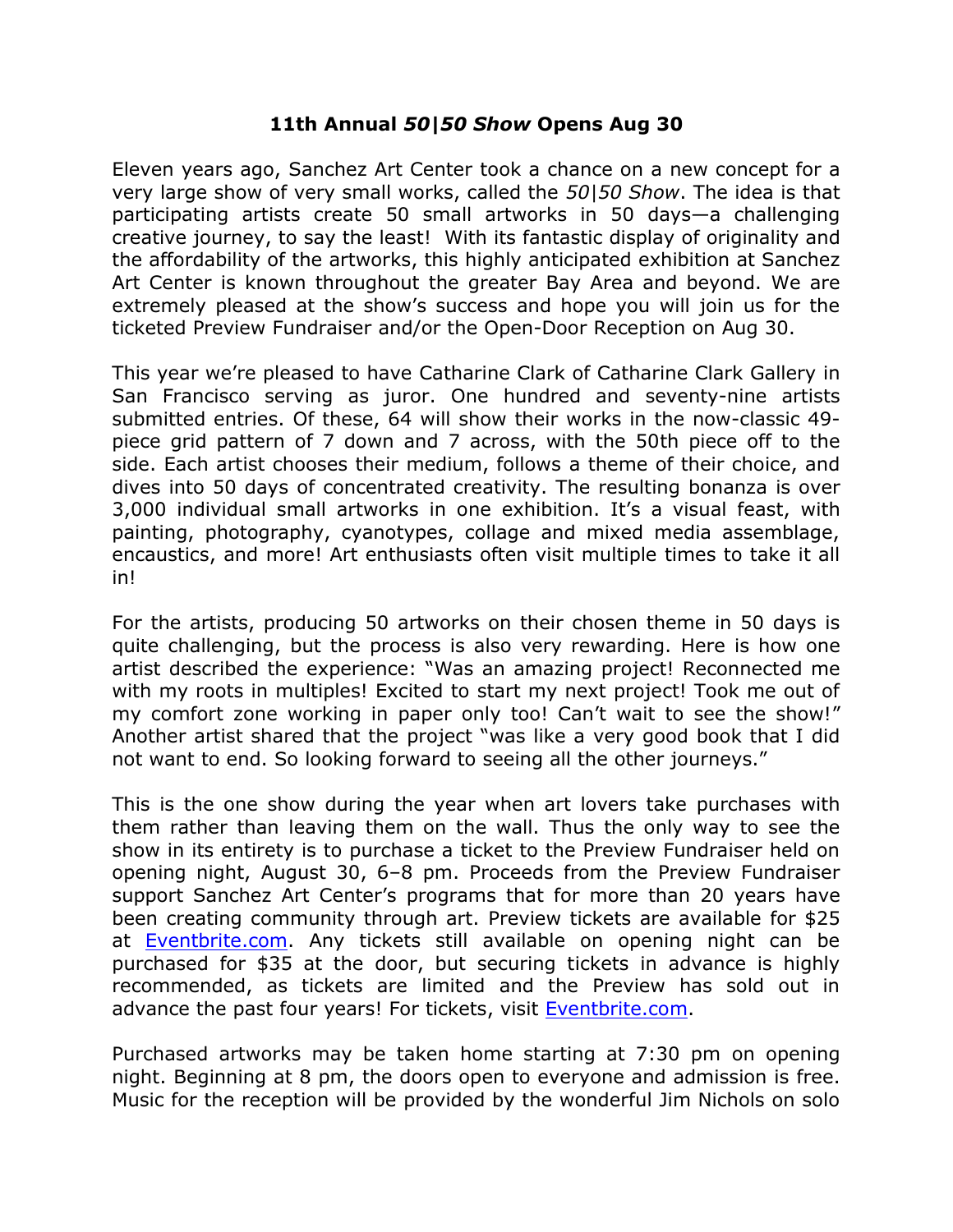## **11th Annual** *50|50 Show* **Opens Aug 30**

Eleven years ago, Sanchez Art Center took a chance on a new concept for a very large show of very small works, called the *50|50 Show*. The idea is that participating artists create 50 small artworks in 50 days—a challenging creative journey, to say the least! With its fantastic display of originality and the affordability of the artworks, this highly anticipated exhibition at Sanchez Art Center is known throughout the greater Bay Area and beyond. We are extremely pleased at the show's success and hope you will join us for the ticketed Preview Fundraiser and/or the Open-Door Reception on Aug 30.

This year we're pleased to have Catharine Clark of Catharine Clark Gallery in San Francisco serving as juror. One hundred and seventy-nine artists submitted entries. Of these, 64 will show their works in the now-classic 49 piece grid pattern of 7 down and 7 across, with the 50th piece off to the side. Each artist chooses their medium, follows a theme of their choice, and dives into 50 days of concentrated creativity. The resulting bonanza is over 3,000 individual small artworks in one exhibition. It's a visual feast, with painting, photography, cyanotypes, collage and mixed media assemblage, encaustics, and more! Art enthusiasts often visit multiple times to take it all in!

For the artists, producing 50 artworks on their chosen theme in 50 days is quite challenging, but the process is also very rewarding. Here is how one artist described the experience: "Was an amazing project! Reconnected me with my roots in multiples! Excited to start my next project! Took me out of my comfort zone working in paper only too! Can't wait to see the show!" Another artist shared that the project "was like a very good book that I did not want to end. So looking forward to seeing all the other journeys."

This is the one show during the year when art lovers take purchases with them rather than leaving them on the wall. Thus the only way to see the show in its entirety is to purchase a ticket to the Preview Fundraiser held on opening night, August 30, 6–8 pm. Proceeds from the Preview Fundraiser support Sanchez Art Center's programs that for more than 20 years have been creating community through art. Preview tickets are available for \$25 at **Eventbrite.com**. Any tickets still available on opening night can be purchased for \$35 at the door, but securing tickets in advance is highly recommended, as tickets are limited and the Preview has sold out in advance the past four years! For tickets, visit [Eventbrite.com.](https://www.eventbrite.com/e/sanchez-art-center-2019-5050-show-preview-fundraiser-tickets-64827154765)

Purchased artworks may be taken home starting at 7:30 pm on opening night. Beginning at 8 pm, the doors open to everyone and admission is free. Music for the reception will be provided by the wonderful Jim Nichols on solo